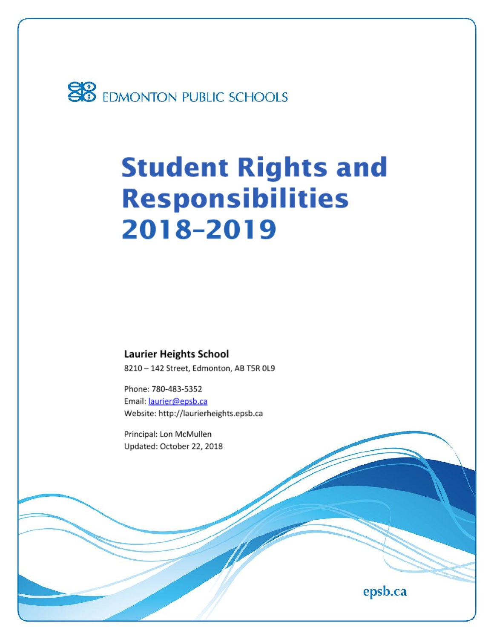

# **Student Rights and Responsibilities** 2018-2019

**Laurier Heights School** 8210 - 142 Street, Edmonton, AB T5R 0L9

Phone: 780-483-5352 Email: laurier@epsb.ca Website: http://laurierheights.epsb.ca

Principal: Lon McMullen Updated: October 22, 2018

epsb.ca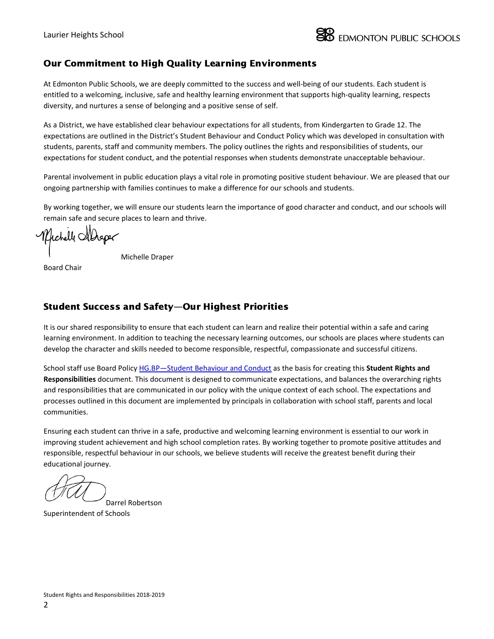

### Our Commitment to High Quality Learning Environments

At Edmonton Public Schools, we are deeply committed to the success and well-being of our students. Each student is entitled to a welcoming, inclusive, safe and healthy learning environment that supports high-quality learning, respects diversity, and nurtures a sense of belonging and a positive sense of self.

As a District, we have established clear behaviour expectations for all students, from Kindergarten to Grade 12. The expectations are outlined in the District's Student Behaviour and Conduct Policy which was developed in consultation with students, parents, staff and community members. The policy outlines the rights and responsibilities of students, our expectations for student conduct, and the potential responses when students demonstrate unacceptable behaviour.

Parental involvement in public education plays a vital role in promoting positive student behaviour. We are pleased that our ongoing partnership with families continues to make a difference for our schools and students.

By working together, we will ensure our students learn the importance of good character and conduct, and our schools will remain safe and secure places to learn and thrive.

Michell Aldeper

Michelle Draper

Board Chair

### Student Success and Safety—Our Highest Priorities

It is our shared responsibility to ensure that each student can learn and realize their potential within a safe and caring learning environment. In addition to teaching the necessary learning outcomes, our schools are places where students can develop the character and skills needed to become responsible, respectful, compassionate and successful citizens.

School staff use Board Policy [HG.BP—Student](https://www.epsb.ca/ourdistrict/policy/h/hg-bp/) Behaviour and Conduct as the basis for creating this **Student Rights and Responsibilities** document. This document is designed to communicate expectations, and balances the overarching rights and responsibilities that are communicated in our policy with the unique context of each school. The expectations and processes outlined in this document are implemented by principals in collaboration with school staff, parents and local communities.

Ensuring each student can thrive in a safe, productive and welcoming learning environment is essential to our work in improving student achievement and high school completion rates. By working together to promote positive attitudes and responsible, respectful behaviour in our schools, we believe students will receive the greatest benefit during their educational journey.

Darrel Robertson Superintendent of Schools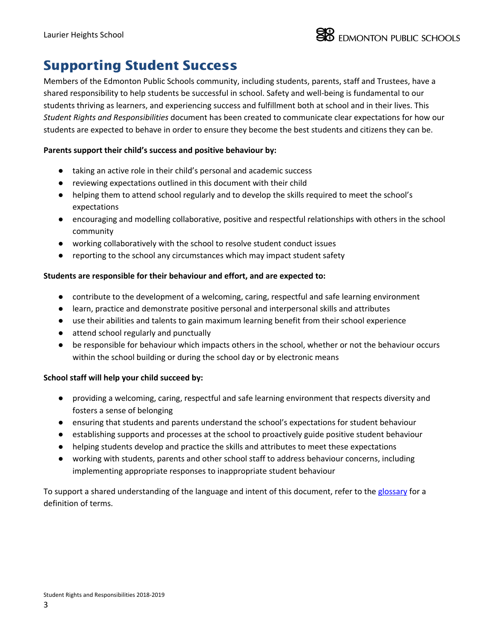# Supporting Student Success

Members of the Edmonton Public Schools community, including students, parents, staff and Trustees, have a shared responsibility to help students be successful in school. Safety and well-being is fundamental to our students thriving as learners, and experiencing success and fulfillment both at school and in their lives. This *Student Rights and Responsibilities* document has been created to communicate clear expectations for how our students are expected to behave in order to ensure they become the best students and citizens they can be.

### **Parents support their child's success and positive behaviour by:**

- taking an active role in their child's personal and academic success
- reviewing expectations outlined in this document with their child
- helping them to attend school regularly and to develop the skills required to meet the school's expectations
- encouraging and modelling collaborative, positive and respectful relationships with others in the school community
- working collaboratively with the school to resolve student conduct issues
- reporting to the school any circumstances which may impact student safety

### **Students are responsible for their behaviour and effort, and are expected to:**

- contribute to the development of a welcoming, caring, respectful and safe learning environment
- learn, practice and demonstrate positive personal and interpersonal skills and attributes
- use their abilities and talents to gain maximum learning benefit from their school experience
- attend school regularly and punctually
- be responsible for behaviour which impacts others in the school, whether or not the behaviour occurs within the school building or during the school day or by electronic means

#### **School staff will help your child succeed by:**

- providing a welcoming, caring, respectful and safe learning environment that respects diversity and fosters a sense of belonging
- ensuring that students and parents understand the school's expectations for student behaviour
- establishing supports and processes at the school to proactively guide positive student behaviour
- helping students develop and practice the skills and attributes to meet these expectations
- working with students, parents and other school staff to address behaviour concerns, including implementing appropriate responses to inappropriate student behaviour

To support a shared understanding of the language and intent of this document, refer to the [glossary](https://docs.google.com/document/d/17XNjzpVX82IahGh_pZllb5p2_56BzRTnteeoNjdejBk/edit?usp=sharing) for a definition of terms.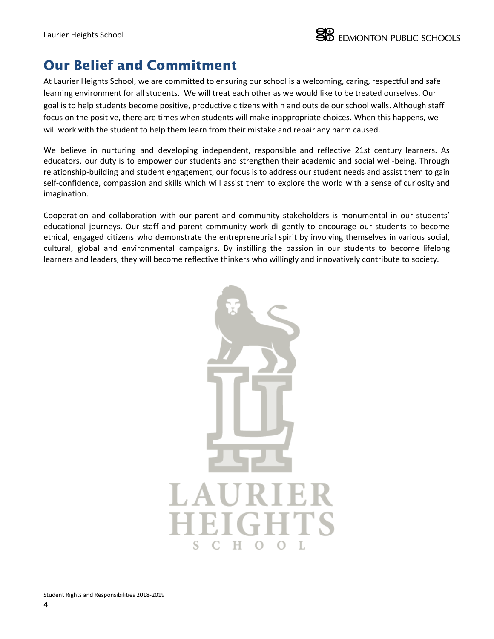# Our Belief and Commitment

At Laurier Heights School, we are committed to ensuring our school is a welcoming, caring, respectful and safe learning environment for all students. We will treat each other as we would like to be treated ourselves. Our goal is to help students become positive, productive citizens within and outside our school walls. Although staff focus on the positive, there are times when students will make inappropriate choices. When this happens, we will work with the student to help them learn from their mistake and repair any harm caused.

We believe in nurturing and developing independent, responsible and reflective 21st century learners. As educators, our duty is to empower our students and strengthen their academic and social well-being. Through relationship-building and student engagement, our focus is to address our student needs and assist them to gain self-confidence, compassion and skills which will assist them to explore the world with a sense of curiosity and imagination.

Cooperation and collaboration with our parent and community stakeholders is monumental in our students' educational journeys. Our staff and parent community work diligently to encourage our students to become ethical, engaged citizens who demonstrate the entrepreneurial spirit by involving themselves in various social, cultural, global and environmental campaigns. By instilling the passion in our students to become lifelong learners and leaders, they will become reflective thinkers who willingly and innovatively contribute to society.

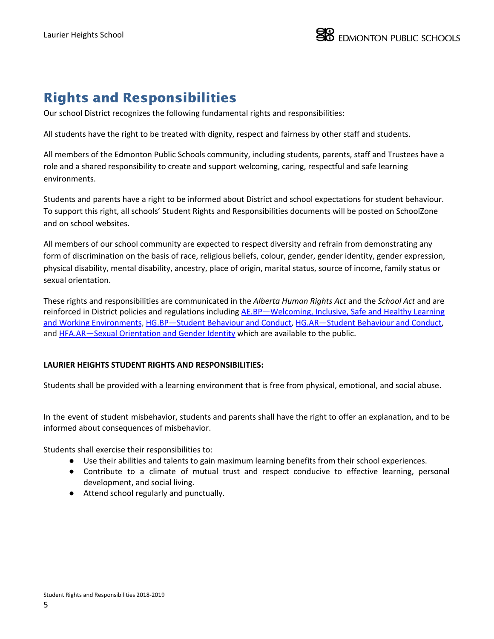# Rights and Responsibilities

Our school District recognizes the following fundamental rights and responsibilities:

All students have the right to be treated with dignity, respect and fairness by other staff and students.

All members of the Edmonton Public Schools community, including students, parents, staff and Trustees have a role and a shared responsibility to create and support welcoming, caring, respectful and safe learning environments.

Students and parents have a right to be informed about District and school expectations for student behaviour. To support this right, all schools' Student Rights and Responsibilities documents will be posted on SchoolZone and on school websites.

All members of our school community are expected to respect diversity and refrain from demonstrating any form of discrimination on the basis of race, religious beliefs, colour, gender, gender identity, gender expression, physical disability, mental disability, ancestry, place of origin, marital status, source of income, family status or sexual orientation.

These rights and responsibilities are communicated in the *Alberta Human Rights Act* and the *School Act* and are reinforced in District policies and regulations including [AE.BP—Welcoming,](https://www.epsb.ca/ourdistrict/policy/a/ae-bp/) Inclusive, Safe and Healthy Learning and Working [Environments,](https://www.epsb.ca/ourdistrict/policy/a/ae-bp/) [HG.BP—Student](https://www.epsb.ca/ourdistrict/policy/h/hg-bp/) Behaviour and Conduct, [HG.AR—Student](http://www.epsb.ca/ourdistrict/policy/h/hg-ar/) Behaviour and Conduct, and [HFA.AR—Sexual](https://www.epsb.ca/ourdistrict/policy/h/hfa-ar/) Orientation and Gender Identity which are available to the public.

### **LAURIER HEIGHTS STUDENT RIGHTS AND RESPONSIBILITIES:**

Students shall be provided with a learning environment that is free from physical, emotional, and social abuse.

In the event of student misbehavior, students and parents shall have the right to offer an explanation, and to be informed about consequences of misbehavior.

Students shall exercise their responsibilities to:

- Use their abilities and talents to gain maximum learning benefits from their school experiences.
- Contribute to a climate of mutual trust and respect conducive to effective learning, personal development, and social living.
- Attend school regularly and punctually.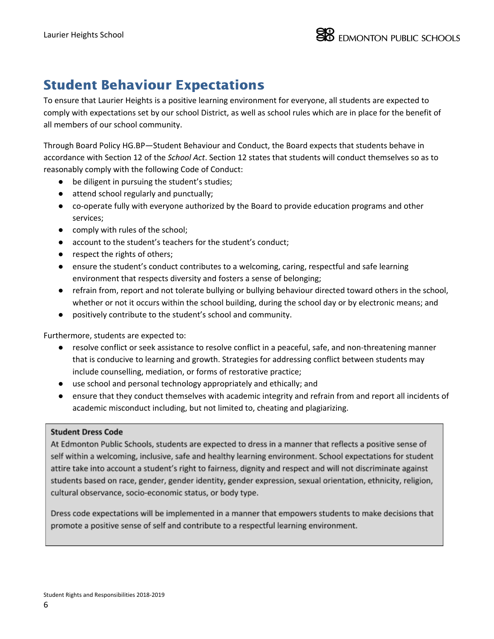# Student Behaviour Expectations

To ensure that Laurier Heights is a positive learning environment for everyone, all students are expected to comply with expectations set by our school District, as well as school rules which are in place for the benefit of all members of our school community.

Through Board Policy HG.BP—Student Behaviour and Conduct, the Board expects that students behave in accordance with Section 12 of the *School Act*. Section 12 states that students will conduct themselves so as to reasonably comply with the following Code of Conduct:

- be diligent in pursuing the student's studies;
- attend school regularly and punctually;
- co-operate fully with everyone authorized by the Board to provide education programs and other services;
- comply with rules of the school;
- account to the student's teachers for the student's conduct;
- respect the rights of others;
- ensure the student's conduct contributes to a welcoming, caring, respectful and safe learning environment that respects diversity and fosters a sense of belonging;
- refrain from, report and not tolerate bullying or bullying behaviour directed toward others in the school, whether or not it occurs within the school building, during the school day or by electronic means; and
- positively contribute to the student's school and community.

Furthermore, students are expected to:

- resolve conflict or seek assistance to resolve conflict in a peaceful, safe, and non-threatening manner that is conducive to learning and growth. Strategies for addressing conflict between students may include counselling, mediation, or forms of restorative practice;
- use school and personal technology appropriately and ethically; and
- ensure that they conduct themselves with academic integrity and refrain from and report all incidents of academic misconduct including, but not limited to, cheating and plagiarizing.

### **Student Dress Code**

At Edmonton Public Schools, students are expected to dress in a manner that reflects a positive sense of self within a welcoming, inclusive, safe and healthy learning environment. School expectations for student attire take into account a student's right to fairness, dignity and respect and will not discriminate against students based on race, gender, gender identity, gender expression, sexual orientation, ethnicity, religion, cultural observance, socio-economic status, or body type.

Dress code expectations will be implemented in a manner that empowers students to make decisions that promote a positive sense of self and contribute to a respectful learning environment.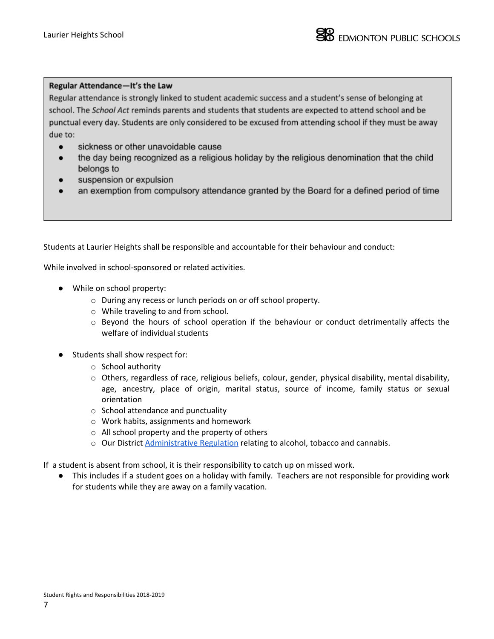#### Regular Attendance-It's the Law

Regular attendance is strongly linked to student academic success and a student's sense of belonging at school. The School Act reminds parents and students that students are expected to attend school and be punctual every day. Students are only considered to be excused from attending school if they must be away due to:

- sickness or other unavoidable cause
- the day being recognized as a religious holiday by the religious denomination that the child  $\bullet$ belongs to
- suspension or expulsion  $\bullet$
- an exemption from compulsory attendance granted by the Board for a defined period of time  $\bullet$

Students at Laurier Heights shall be responsible and accountable for their behaviour and conduct:

While involved in school-sponsored or related activities.

- While on school property:
	- o During any recess or lunch periods on or off school property.
	- o While traveling to and from school.
	- o Beyond the hours of school operation if the behaviour or conduct detrimentally affects the welfare of individual students
- Students shall show respect for:
	- o School authority
	- $\circ$  Others, regardless of race, religious beliefs, colour, gender, physical disability, mental disability, age, ancestry, place of origin, marital status, source of income, family status or sexual orientation
	- o School attendance and punctuality
	- o Work habits, assignments and homework
	- o All school property and the property of others
	- o Our District [Administrative](http://epsb.ca/ourdistrict/policy/i/igd-ar/) Regulation relating to alcohol, tobacco and cannabis.

If a student is absent from school, it is their responsibility to catch up on missed work.

This includes if a student goes on a holiday with family. Teachers are not responsible for providing work for students while they are away on a family vacation.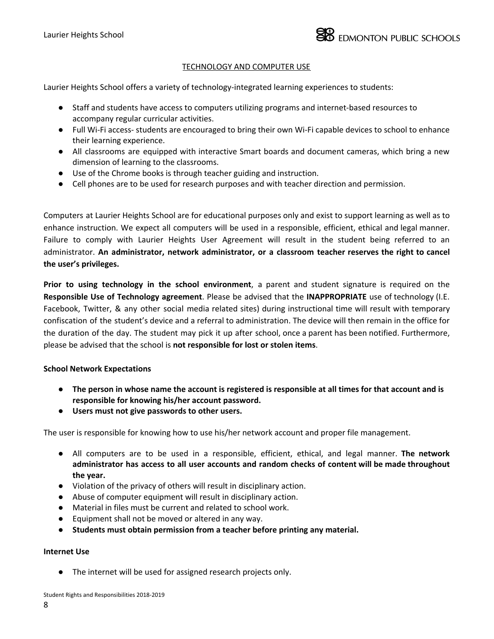#### **TECHNOLOGY AND COMPUTER USE**

Laurier Heights School offers a variety of technology-integrated learning experiences to students:

- Staff and students have access to computers utilizing programs and internet-based resources to accompany regular curricular activities.
- Full Wi-Fi access- students are encouraged to bring their own Wi-Fi capable devices to school to enhance their learning experience.
- All classrooms are equipped with interactive Smart boards and document cameras, which bring a new dimension of learning to the classrooms.
- Use of the Chrome books is through teacher guiding and instruction.
- Cell phones are to be used for research purposes and with teacher direction and permission.

Computers at Laurier Heights School are for educational purposes only and exist to support learning as well as to enhance instruction. We expect all computers will be used in a responsible, efficient, ethical and legal manner. Failure to comply with Laurier Heights User Agreement will result in the student being referred to an administrator. **An administrator, network administrator, or a classroom teacher reserves the right to cancel the user's privileges.**

**Prior to using technology in the school environment**, a parent and student signature is required on the **Responsible Use of Technology agreement**. Please be advised that the **INAPPROPRIATE** use of technology (I.E. Facebook, Twitter, & any other social media related sites) during instructional time will result with temporary confiscation of the student's device and a referral to administration. The device will then remain in the office for the duration of the day. The student may pick it up after school, once a parent has been notified. Furthermore, please be advised that the school is **not responsible for lost or stolen items**.

#### **School Network Expectations**

- The person in whose name the account is registered is responsible at all times for that account and is **responsible for knowing his/her account password.**
- **Users must not give passwords to other users.**

The user is responsible for knowing how to use his/her network account and proper file management.

- All computers are to be used in a responsible, efficient, ethical, and legal manner. **The network administrator has access to all user accounts and random checks of content will be made throughout the year.**
- **●** Violation of the privacy of others will result in disciplinary action.
- Abuse of computer equipment will result in disciplinary action.
- Material in files must be current and related to school work.
- Equipment shall not be moved or altered in any way.
- **Students must obtain permission from a teacher before printing any material.**

#### **Internet Use**

● The internet will be used for assigned research projects only.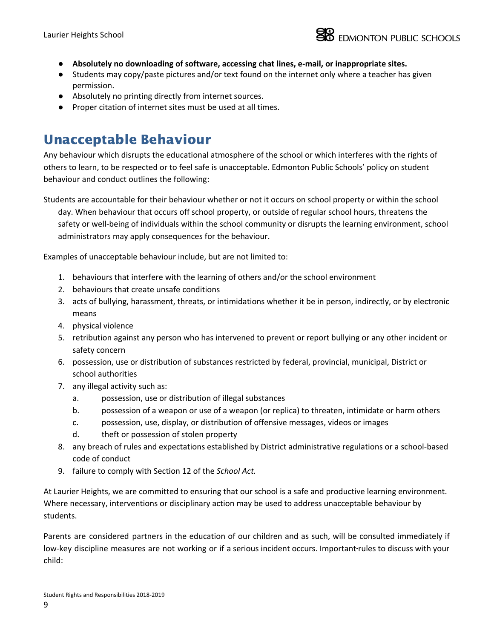

- **● Absolutely no downloading of software, accessing chat lines, e-mail, or inappropriate sites.**
- Students may copy/paste pictures and/or text found on the internet only where a teacher has given permission.
- Absolutely no printing directly from internet sources.
- Proper citation of internet sites must be used at all times.

## Unacceptable Behaviour

Any behaviour which disrupts the educational atmosphere of the school or which interferes with the rights of others to learn, to be respected or to feel safe is unacceptable. Edmonton Public Schools' policy on student behaviour and conduct outlines the following:

Students are accountable for their behaviour whether or not it occurs on school property or within the school day. When behaviour that occurs off school property, or outside of regular school hours, threatens the safety or well-being of individuals within the school community or disrupts the learning environment, school administrators may apply consequences for the behaviour.

Examples of unacceptable behaviour include, but are not limited to:

- 1. behaviours that interfere with the learning of others and/or the school environment
- 2. behaviours that create unsafe conditions
- 3. acts of bullying, harassment, threats, or intimidations whether it be in person, indirectly, or by electronic means
- 4. physical violence
- 5. retribution against any person who has intervened to prevent or report bullying or any other incident or safety concern
- 6. possession, use or distribution of substances restricted by federal, provincial, municipal, District or school authorities
- 7. any illegal activity such as:
	- a. possession, use or distribution of illegal substances
	- b. possession of a weapon or use of a weapon (or replica) to threaten, intimidate or harm others
	- c. possession, use, display, or distribution of offensive messages, videos or images
	- d. theft or possession of stolen property
- 8. any breach of rules and expectations established by District administrative regulations or a school-based code of conduct
- 9. failure to comply with Section 12 of the *School Act.*

At Laurier Heights, we are committed to ensuring that our school is a safe and productive learning environment. Where necessary, interventions or disciplinary action may be used to address unacceptable behaviour by students.

Parents are considered partners in the education of our children and as such, will be consulted immediately if low-key discipline measures are not working or if a serious incident occurs. Important-rules to discuss with your child: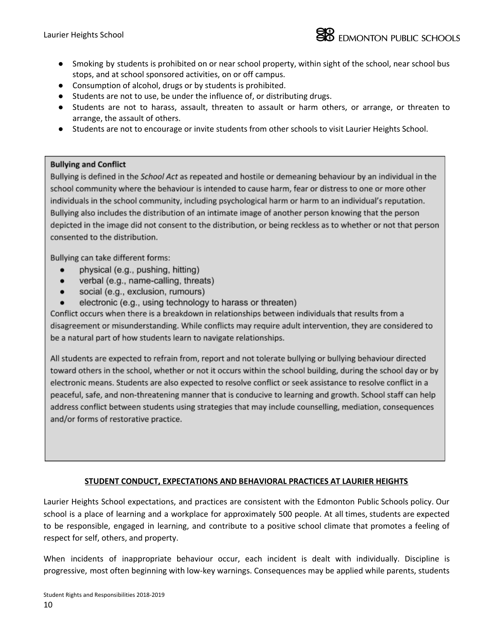- Smoking by students is prohibited on or near school property, within sight of the school, near school bus stops, and at school sponsored activities, on or off campus.
- Consumption of alcohol, drugs or by students is prohibited.
- Students are not to use, be under the influence of, or distributing drugs.
- Students are not to harass, assault, threaten to assault or harm others, or arrange, or threaten to arrange, the assault of others.
- Students are not to encourage or invite students from other schools to visit Laurier Heights School.

### **Bullying and Conflict**

Bullying is defined in the School Act as repeated and hostile or demeaning behaviour by an individual in the school community where the behaviour is intended to cause harm, fear or distress to one or more other individuals in the school community, including psychological harm or harm to an individual's reputation. Bullying also includes the distribution of an intimate image of another person knowing that the person depicted in the image did not consent to the distribution, or being reckless as to whether or not that person consented to the distribution.

Bullying can take different forms:

- physical (e.g., pushing, hitting)  $\bullet$
- verbal (e.g., name-calling, threats)
- social (e.g., exclusion, rumours)
- electronic (e.g., using technology to harass or threaten)

Conflict occurs when there is a breakdown in relationships between individuals that results from a disagreement or misunderstanding. While conflicts may require adult intervention, they are considered to be a natural part of how students learn to navigate relationships.

All students are expected to refrain from, report and not tolerate bullying or bullying behaviour directed toward others in the school, whether or not it occurs within the school building, during the school day or by electronic means. Students are also expected to resolve conflict or seek assistance to resolve conflict in a peaceful, safe, and non-threatening manner that is conducive to learning and growth. School staff can help address conflict between students using strategies that may include counselling, mediation, consequences and/or forms of restorative practice.

### **STUDENT CONDUCT, EXPECTATIONS AND BEHAVIORAL PRACTICES AT LAURIER HEIGHTS**

Laurier Heights School expectations, and practices are consistent with the Edmonton Public Schools policy. Our school is a place of learning and a workplace for approximately 500 people. At all times, students are expected to be responsible, engaged in learning, and contribute to a positive school climate that promotes a feeling of respect for self, others, and property.

When incidents of inappropriate behaviour occur, each incident is dealt with individually. Discipline is progressive, most often beginning with low-key warnings. Consequences may be applied while parents, students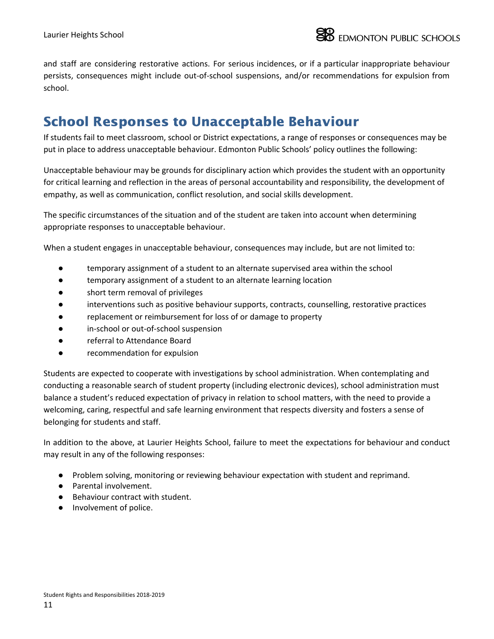and staff are considering restorative actions. For serious incidences, or if a particular inappropriate behaviour persists, consequences might include out-of-school suspensions, and/or recommendations for expulsion from school.

# School Responses to Unacceptable Behaviour

If students fail to meet classroom, school or District expectations, a range of responses or consequences may be put in place to address unacceptable behaviour. Edmonton Public Schools' policy outlines the following:

Unacceptable behaviour may be grounds for disciplinary action which provides the student with an opportunity for critical learning and reflection in the areas of personal accountability and responsibility, the development of empathy, as well as communication, conflict resolution, and social skills development.

The specific circumstances of the situation and of the student are taken into account when determining appropriate responses to unacceptable behaviour.

When a student engages in unacceptable behaviour, consequences may include, but are not limited to:

- temporary assignment of a student to an alternate supervised area within the school
- temporary assignment of a student to an alternate learning location
- short term removal of privileges
- interventions such as positive behaviour supports, contracts, counselling, restorative practices
- replacement or reimbursement for loss of or damage to property
- in-school or out-of-school suspension
- referral to Attendance Board
- recommendation for expulsion

Students are expected to cooperate with investigations by school administration. When contemplating and conducting a reasonable search of student property (including electronic devices), school administration must balance a student's reduced expectation of privacy in relation to school matters, with the need to provide a welcoming, caring, respectful and safe learning environment that respects diversity and fosters a sense of belonging for students and staff.

In addition to the above, at Laurier Heights School, failure to meet the expectations for behaviour and conduct may result in any of the following responses:

- Problem solving, monitoring or reviewing behaviour expectation with student and reprimand.
- Parental involvement.
- Behaviour contract with student.
- Involvement of police.